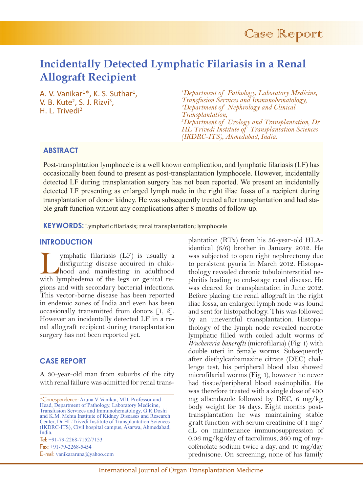# **Incidentally Detected Lymphatic Filariasis in a Renal Allograft Recipient**

A. V. Vanikar<sup>1\*</sup>, K. S. Suthar<sup>1</sup>,<br>V. B. Kute<sup>2</sup>, S. J. Rizvi<sup>3</sup>, V. B. Kute<sup>2</sup>, S. J. Rizvi<sup>3</sup>,<br>H. L. Trivedi<sup>2</sup>

*1 Department of Pathology, Laboratory Medicine, Transfusion Services and Immunohematology, 2 Department of Nephrology and Clinical Transplantation, 3 Department of Urology and Transplantation, Dr HL Trivedi Institute of Transplantation Sciences (IKDRC-ITS), Ahmedabad, India.*

# **ABSTRACT**

Post-transplntation lymphocele is a well known complication, and lymphatic filariasis (LF) has occasionally been found to present as post-transplantation lymphocele. However, incidentally detected LF during transplantation surgery has not been reported. We present an incidentally detected LF presenting as enlarged lymph node in the right iliac fossa of a recipient during transplantation of donor kidney. He was subsequently treated after transplantation and had stable graft function without any complications after 8 months of follow-up.

**KEYWORDS:** Lymphatic filariasis; renal transplantation; lymphocele

# **INTRODUCTION**

ymphatic filariasis (LF) is usually a disfiguring disease acquired in child-<br>hood and manifesting in adulthood<br>with lymphedema of the legs or genital redisfiguring disease acquired in childhood and manifesting in adulthood with lymphedema of the legs or genital regions and with secondary bacterial infections. This vector-borne disease has been reported in endemic zones of India and even has been occasionally transmitted from donors [1, 2]. However an incidentally detected LF in a renal allograft recipient during transplantation surgery has not been reported yet.

## **CASE REPORT**

A 30-year-old man from suburbs of the city with renal failure was admitted for renal trans-

Fax: +91-79-2268-5454 E-mail: vanikararuna@yahoo.com

plantation (RTx) from his 36-year-old HLAidentical (6/6) brother in January 2012. He was subjected to open right nephrectomy due to persistent pyuria in March 2012. Histopathology revealed chronic tubulointerstitial nephritis leading to end-stage renal disease. He was cleared for transplantation in June 2012. Before placing the renal allograft in the right iliac fossa, an enlarged lymph node was found and sent for histopathology. This was followed by an uneventful transplantation. Histopathology of the lymph node revealed necrotic lymphatic filled with coiled adult worms of *Wuchereria bancrofti* (microfilaria) (Fig 1) with double uteri in female worms. Subsequently after diethylcarbamazine citrate (DEC) challenge test, his peripheral blood also showed microfilarial worms (Fig 1), however he never had tissue/peripheral blood eosinophilia. He was therefore treated with a single dose of 400 mg albendazole followed by DEC, 6 mg/kg body weight for 14 days. Eight months posttransplantation he was maintaining stable graft function with serum creatinine of 1 mg/ dL on maintenance immunosuppression of 0.06 mg/kg/day of tacrolimus, 360 mg of mycofenolate sodium twice a day, and 10 mg/day prednisone. On screening, none of his family

<sup>\*</sup>Correspondence: Aruna V Vanikar, MD, Professor and Head, Department of Pathology, Laboratory Medicine, Transfusion Services and Immunohematology, G.R.Doshi and K.M. Mehta Institute of Kidney Diseases and Research Center, Dr HL Trivedi Institute of Transplantation Sciences (IKDRC-ITS), Civil hospital campus, Asarwa, Ahmedabad, India. Tel: +91-79-2268-7152/7153